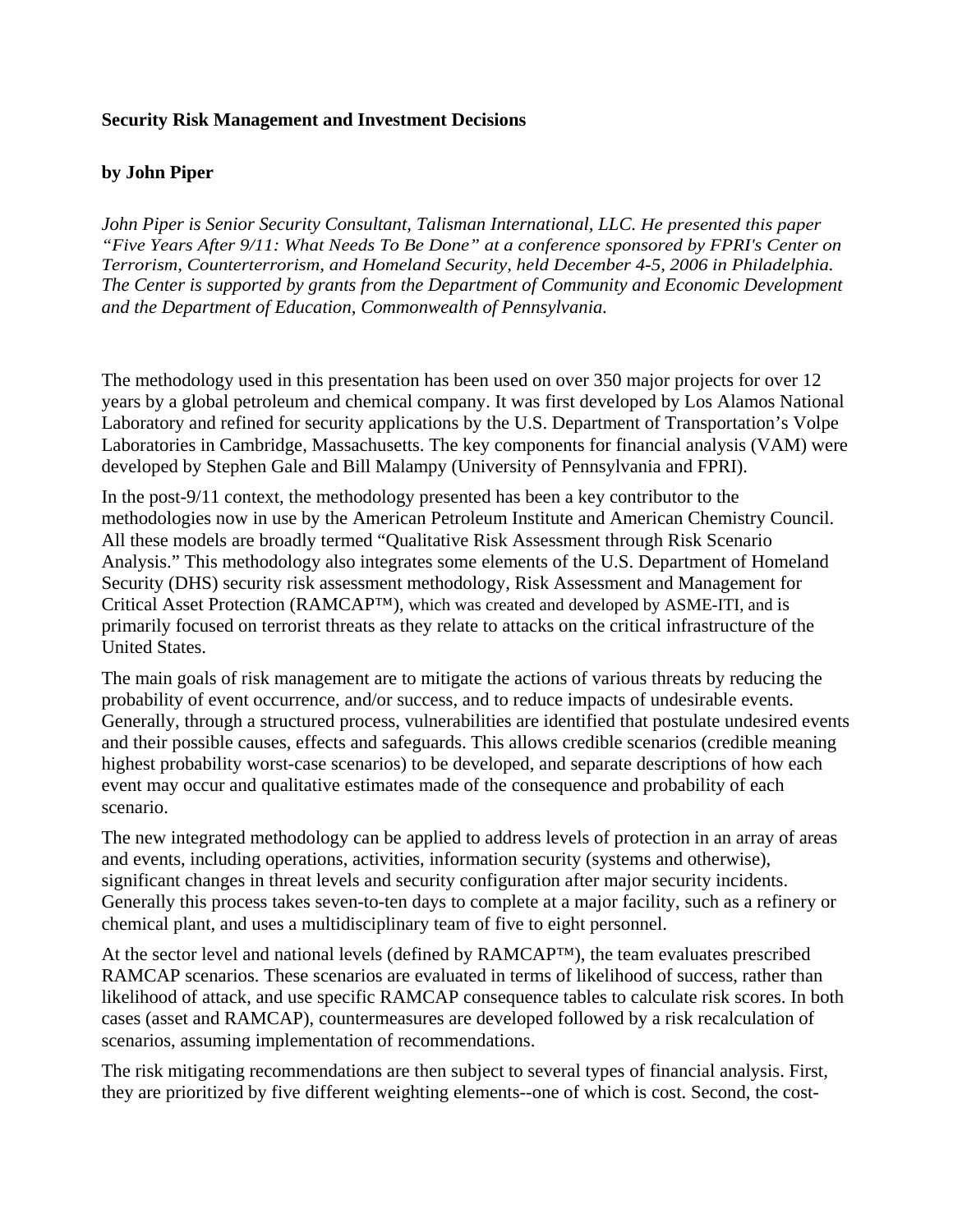## **Security Risk Management and Investment Decisions**

## **by John Piper**

*John Piper is Senior Security Consultant, Talisman International, LLC. He presented this paper "Five Years After 9/11: What Needs To Be Done" at a conference sponsored by FPRI's Center on Terrorism, Counterterrorism, and Homeland Security, held December 4-5, 2006 in Philadelphia. The Center is supported by grants from the Department of Community and Economic Development and the Department of Education, Commonwealth of Pennsylvania.* 

The methodology used in this presentation has been used on over 350 major projects for over 12 years by a global petroleum and chemical company. It was first developed by Los Alamos National Laboratory and refined for security applications by the U.S. Department of Transportation's Volpe Laboratories in Cambridge, Massachusetts. The key components for financial analysis (VAM) were developed by Stephen Gale and Bill Malampy (University of Pennsylvania and FPRI).

In the post-9/11 context, the methodology presented has been a key contributor to the methodologies now in use by the American Petroleum Institute and American Chemistry Council. All these models are broadly termed "Qualitative Risk Assessment through Risk Scenario Analysis." This methodology also integrates some elements of the U.S. Department of Homeland Security (DHS) security risk assessment methodology, Risk Assessment and Management for Critical Asset Protection (RAMCAP™), which was created and developed by ASME-ITI, and is primarily focused on terrorist threats as they relate to attacks on the critical infrastructure of the United States.

The main goals of risk management are to mitigate the actions of various threats by reducing the probability of event occurrence, and/or success, and to reduce impacts of undesirable events. Generally, through a structured process, vulnerabilities are identified that postulate undesired events and their possible causes, effects and safeguards. This allows credible scenarios (credible meaning highest probability worst-case scenarios) to be developed, and separate descriptions of how each event may occur and qualitative estimates made of the consequence and probability of each scenario.

The new integrated methodology can be applied to address levels of protection in an array of areas and events, including operations, activities, information security (systems and otherwise), significant changes in threat levels and security configuration after major security incidents. Generally this process takes seven-to-ten days to complete at a major facility, such as a refinery or chemical plant, and uses a multidisciplinary team of five to eight personnel.

At the sector level and national levels (defined by RAMCAP™), the team evaluates prescribed RAMCAP scenarios. These scenarios are evaluated in terms of likelihood of success, rather than likelihood of attack, and use specific RAMCAP consequence tables to calculate risk scores. In both cases (asset and RAMCAP), countermeasures are developed followed by a risk recalculation of scenarios, assuming implementation of recommendations.

The risk mitigating recommendations are then subject to several types of financial analysis. First, they are prioritized by five different weighting elements--one of which is cost. Second, the cost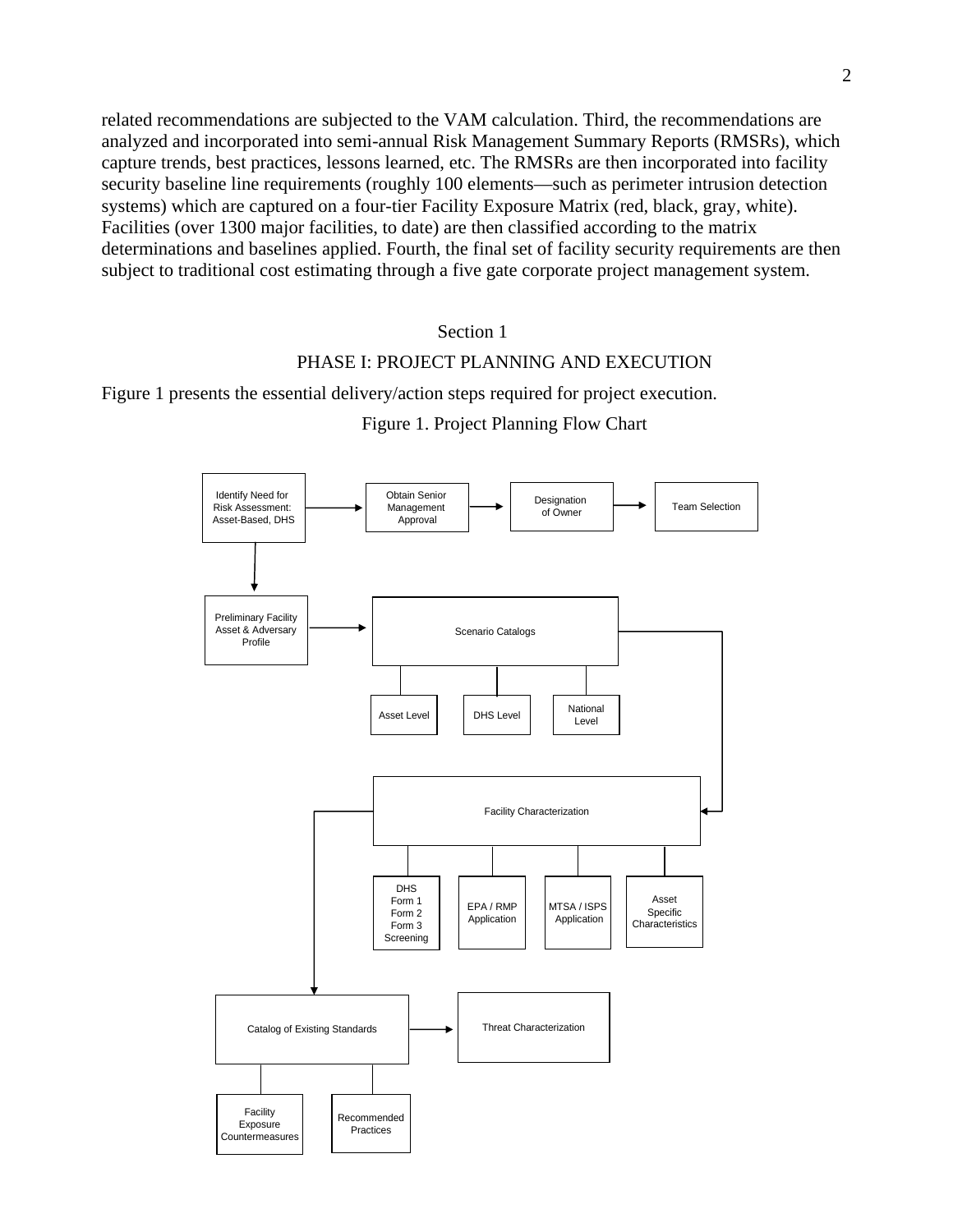related recommendations are subjected to the VAM calculation. Third, the recommendations are analyzed and incorporated into semi-annual Risk Management Summary Reports (RMSRs), which capture trends, best practices, lessons learned, etc. The RMSRs are then incorporated into facility security baseline line requirements (roughly 100 elements—such as perimeter intrusion detection systems) which are captured on a four-tier Facility Exposure Matrix (red, black, gray, white). Facilities (over 1300 major facilities, to date) are then classified according to the matrix determinations and baselines applied. Fourth, the final set of facility security requirements are then subject to traditional cost estimating through a five gate corporate project management system.

### Section 1

### PHASE I: PROJECT PLANNING AND EXECUTION

Figure 1 presents the essential delivery/action steps required for project execution.

Figure 1. Project Planning Flow Chart

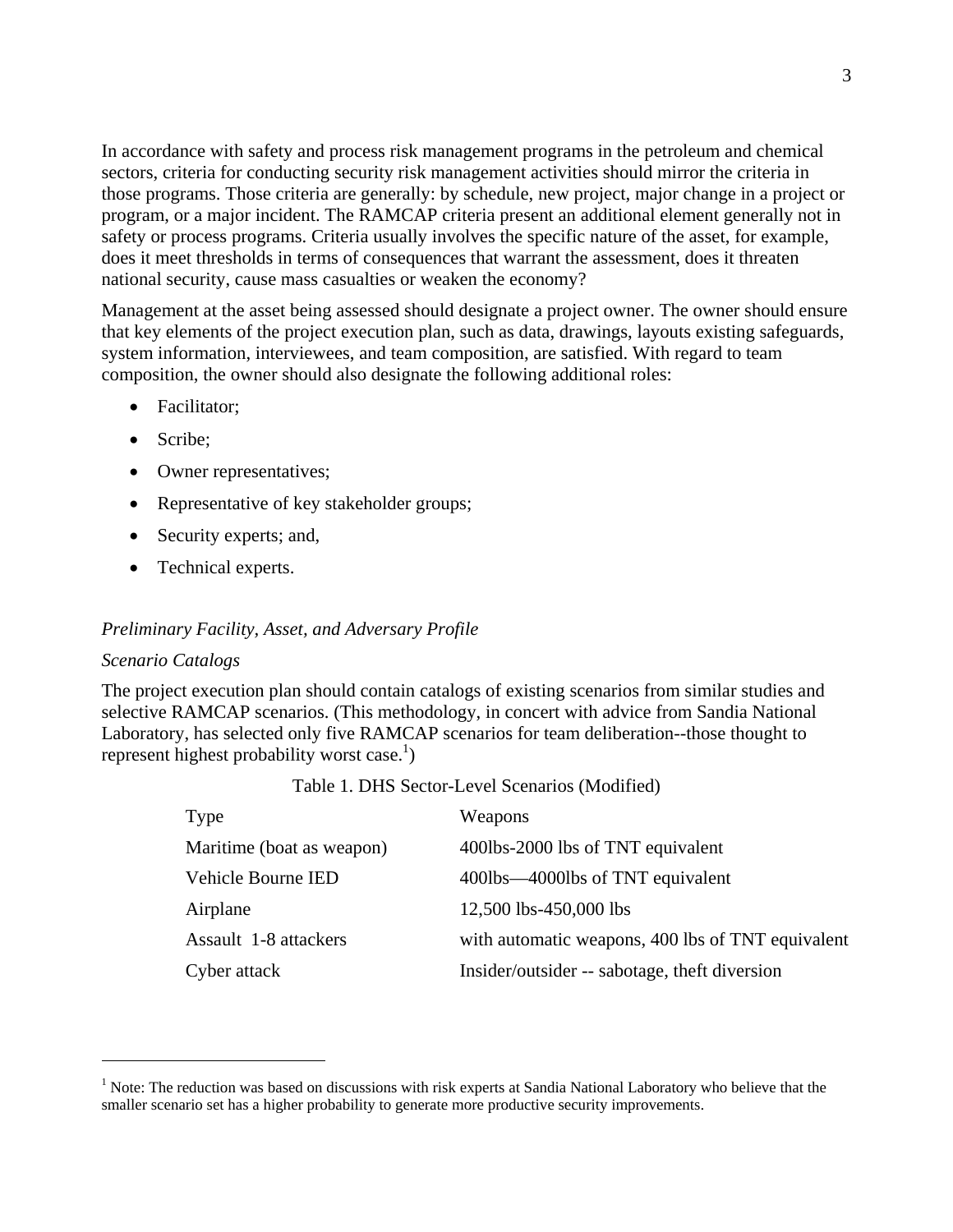In accordance with safety and process risk management programs in the petroleum and chemical sectors, criteria for conducting security risk management activities should mirror the criteria in those programs. Those criteria are generally: by schedule, new project, major change in a project or program, or a major incident. The RAMCAP criteria present an additional element generally not in safety or process programs. Criteria usually involves the specific nature of the asset, for example, does it meet thresholds in terms of consequences that warrant the assessment, does it threaten national security, cause mass casualties or weaken the economy?

Management at the asset being assessed should designate a project owner. The owner should ensure that key elements of the project execution plan, such as data, drawings, layouts existing safeguards, system information, interviewees, and team composition, are satisfied. With regard to team composition, the owner should also designate the following additional roles:

- Facilitator:
- Scribe:
- Owner representatives;
- Representative of key stakeholder groups;
- Security experts; and,
- Technical experts.

### *Preliminary Facility, Asset, and Adversary Profile*

#### *Scenario Catalogs*

The project execution plan should contain catalogs of existing scenarios from similar studies and selective RAMCAP scenarios. (This methodology, in concert with advice from Sandia National Laboratory, has selected only five RAMCAP scenarios for team deliberation--those thought to represent highest probability worst case.<sup>1</sup>)

| Type                      | Weapons                                           |
|---------------------------|---------------------------------------------------|
| Maritime (boat as weapon) | 400lbs-2000 lbs of TNT equivalent                 |
| Vehicle Bourne IED        | 400lbs—4000lbs of TNT equivalent                  |
| Airplane                  | 12,500 lbs-450,000 lbs                            |
| Assault 1-8 attackers     | with automatic weapons, 400 lbs of TNT equivalent |
| Cyber attack              | Insider/outsider -- sabotage, theft diversion     |

#### Table 1. DHS Sector-Level Scenarios (Modified)

<sup>&</sup>lt;sup>1</sup> Note: The reduction was based on discussions with risk experts at Sandia National Laboratory who believe that the smaller scenario set has a higher probability to generate more productive security improvements.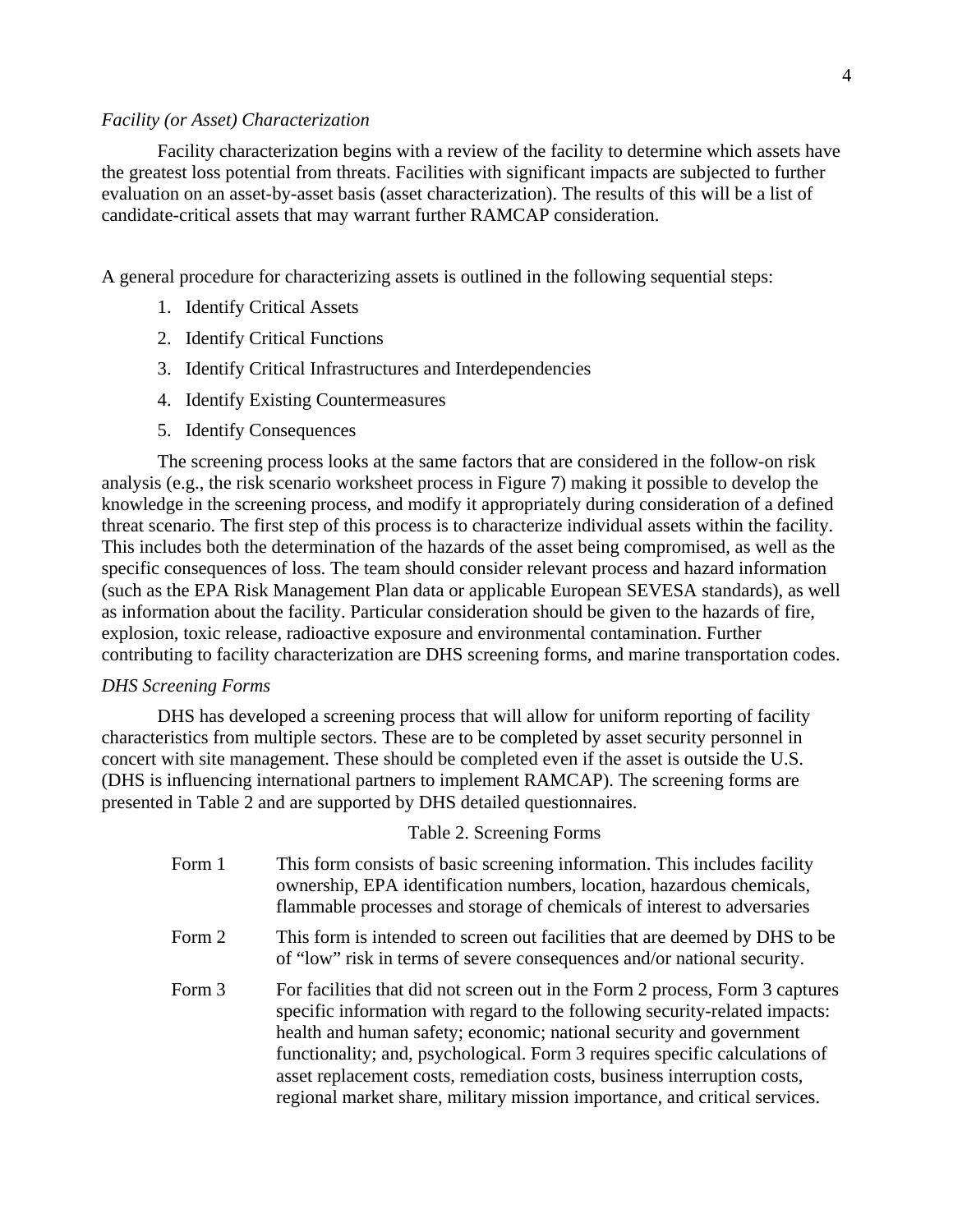### *Facility (or Asset) Characterization*

Facility characterization begins with a review of the facility to determine which assets have the greatest loss potential from threats. Facilities with significant impacts are subjected to further evaluation on an asset-by-asset basis (asset characterization). The results of this will be a list of candidate-critical assets that may warrant further RAMCAP consideration.

A general procedure for characterizing assets is outlined in the following sequential steps:

- 1. Identify Critical Assets
- 2. Identify Critical Functions
- 3. Identify Critical Infrastructures and Interdependencies
- 4. Identify Existing Countermeasures
- 5. Identify Consequences

The screening process looks at the same factors that are considered in the follow-on risk analysis (e.g., the risk scenario worksheet process in Figure 7) making it possible to develop the knowledge in the screening process, and modify it appropriately during consideration of a defined threat scenario. The first step of this process is to characterize individual assets within the facility. This includes both the determination of the hazards of the asset being compromised, as well as the specific consequences of loss. The team should consider relevant process and hazard information (such as the EPA Risk Management Plan data or applicable European SEVESA standards), as well as information about the facility. Particular consideration should be given to the hazards of fire, explosion, toxic release, radioactive exposure and environmental contamination. Further contributing to facility characterization are DHS screening forms, and marine transportation codes.

#### *DHS Screening Forms*

DHS has developed a screening process that will allow for uniform reporting of facility characteristics from multiple sectors. These are to be completed by asset security personnel in concert with site management. These should be completed even if the asset is outside the U.S. (DHS is influencing international partners to implement RAMCAP). The screening forms are presented in Table 2 and are supported by DHS detailed questionnaires.

### Table 2. Screening Forms

| Form 1 | This form consists of basic screening information. This includes facility<br>ownership, EPA identification numbers, location, hazardous chemicals,<br>flammable processes and storage of chemicals of interest to adversaries                                                                                                                                                                                                                                                |
|--------|------------------------------------------------------------------------------------------------------------------------------------------------------------------------------------------------------------------------------------------------------------------------------------------------------------------------------------------------------------------------------------------------------------------------------------------------------------------------------|
| Form 2 | This form is intended to screen out facilities that are deemed by DHS to be<br>of "low" risk in terms of severe consequences and/or national security.                                                                                                                                                                                                                                                                                                                       |
| Form 3 | For facilities that did not screen out in the Form 2 process, Form 3 captures<br>specific information with regard to the following security-related impacts:<br>health and human safety; economic; national security and government<br>functionality; and, psychological. Form 3 requires specific calculations of<br>asset replacement costs, remediation costs, business interruption costs,<br>regional market share, military mission importance, and critical services. |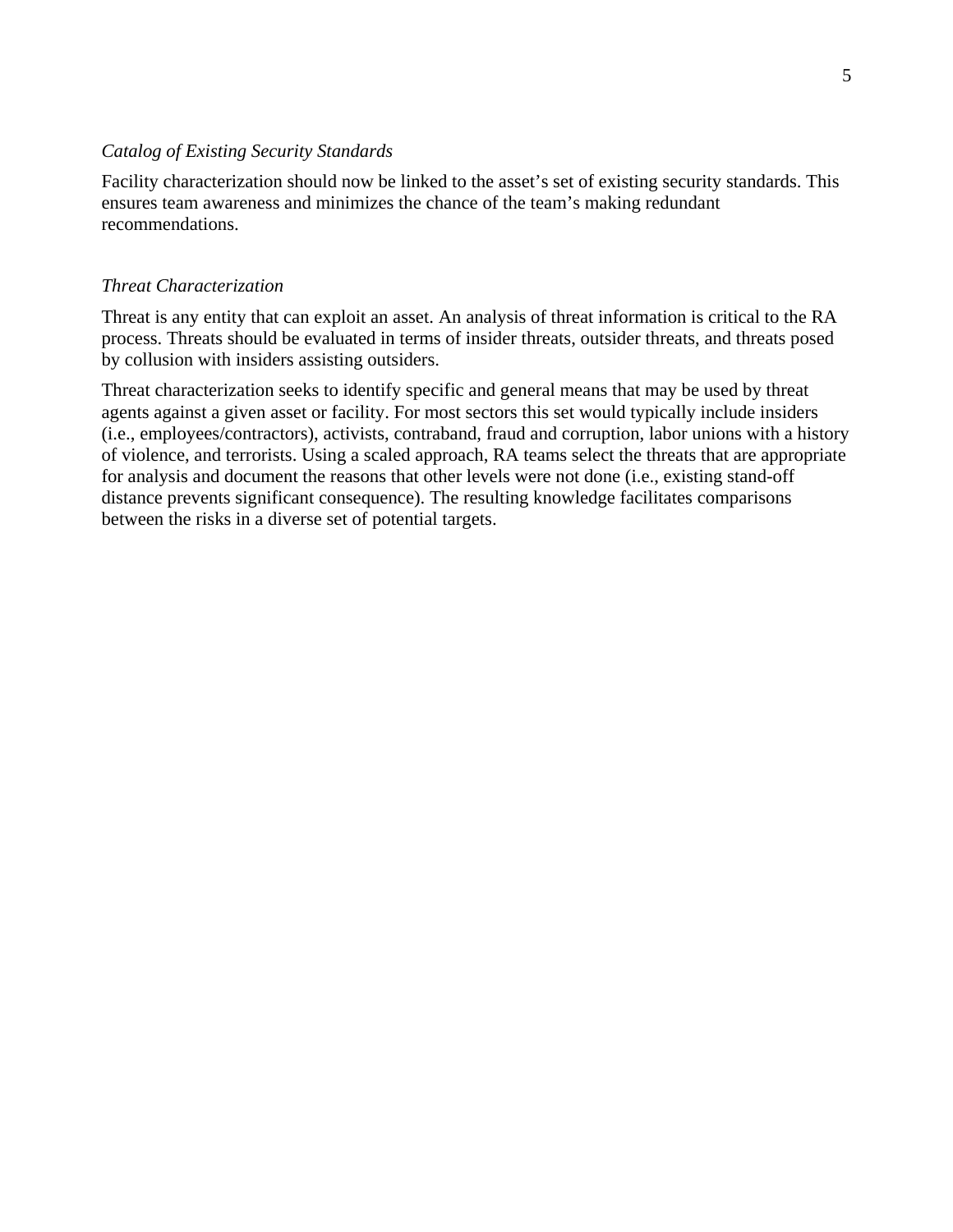### *Catalog of Existing Security Standards*

Facility characterization should now be linked to the asset's set of existing security standards. This ensures team awareness and minimizes the chance of the team's making redundant recommendations.

### *Threat Characterization*

Threat is any entity that can exploit an asset. An analysis of threat information is critical to the RA process. Threats should be evaluated in terms of insider threats, outsider threats, and threats posed by collusion with insiders assisting outsiders.

Threat characterization seeks to identify specific and general means that may be used by threat agents against a given asset or facility. For most sectors this set would typically include insiders (i.e., employees/contractors), activists, contraband, fraud and corruption, labor unions with a history of violence, and terrorists. Using a scaled approach, RA teams select the threats that are appropriate for analysis and document the reasons that other levels were not done (i.e., existing stand-off distance prevents significant consequence). The resulting knowledge facilitates comparisons between the risks in a diverse set of potential targets.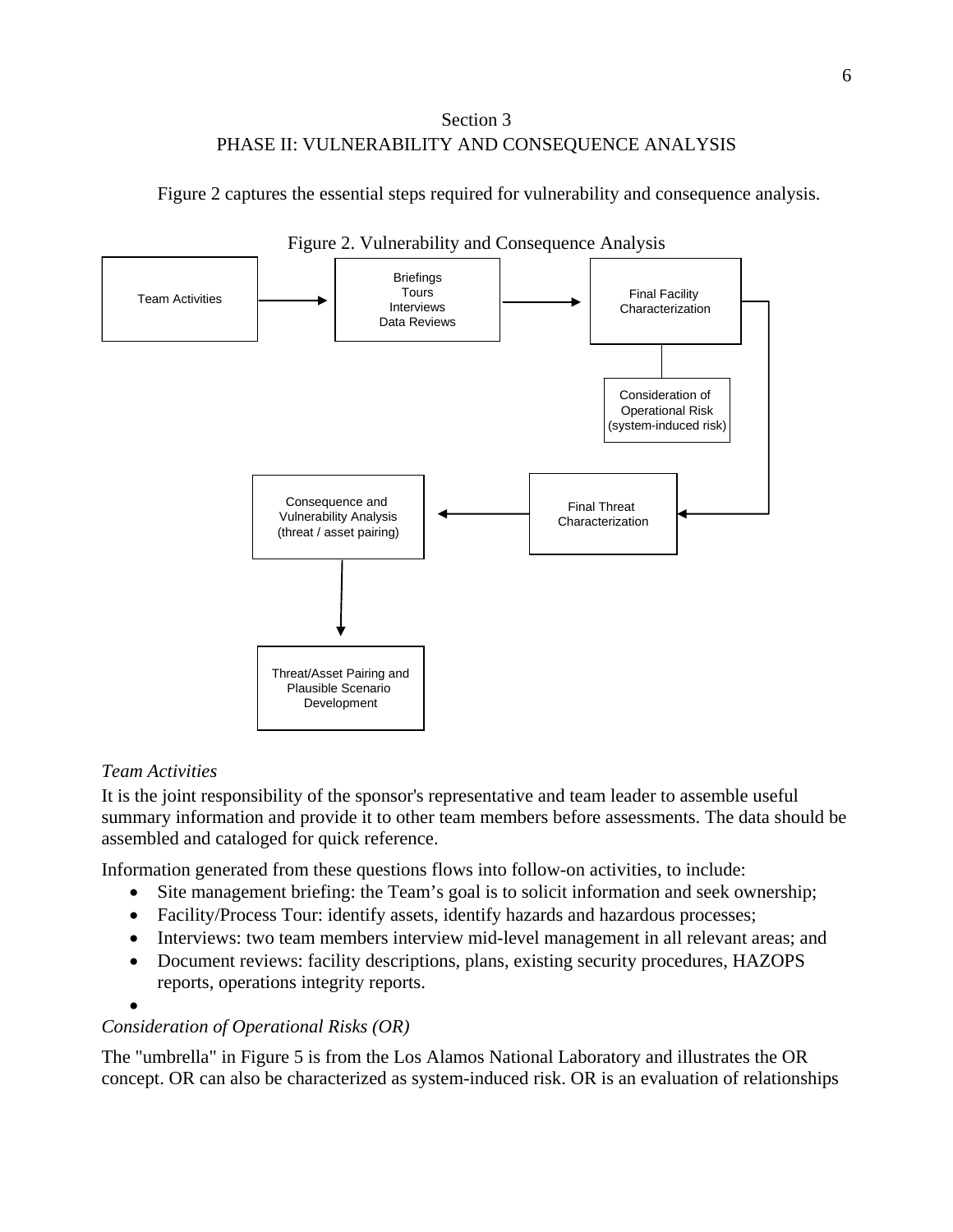# Section 3 PHASE II: VULNERABILITY AND CONSEQUENCE ANALYSIS

Figure 2 captures the essential steps required for vulnerability and consequence analysis.



## Figure 2. Vulnerability and Consequence Analysis

# *Team Activities*

It is the joint responsibility of the sponsor's representative and team leader to assemble useful summary information and provide it to other team members before assessments. The data should be assembled and cataloged for quick reference.

Information generated from these questions flows into follow-on activities, to include:

- Site management briefing: the Team's goal is to solicit information and seek ownership;
- Facility/Process Tour: identify assets, identify hazards and hazardous processes;
- Interviews: two team members interview mid-level management in all relevant areas; and
- Document reviews: facility descriptions, plans, existing security procedures, HAZOPS reports, operations integrity reports.

# *Consideration of Operational Risks (OR)*

The "umbrella" in Figure 5 is from the Los Alamos National Laboratory and illustrates the OR concept. OR can also be characterized as system-induced risk. OR is an evaluation of relationships

<sup>•</sup>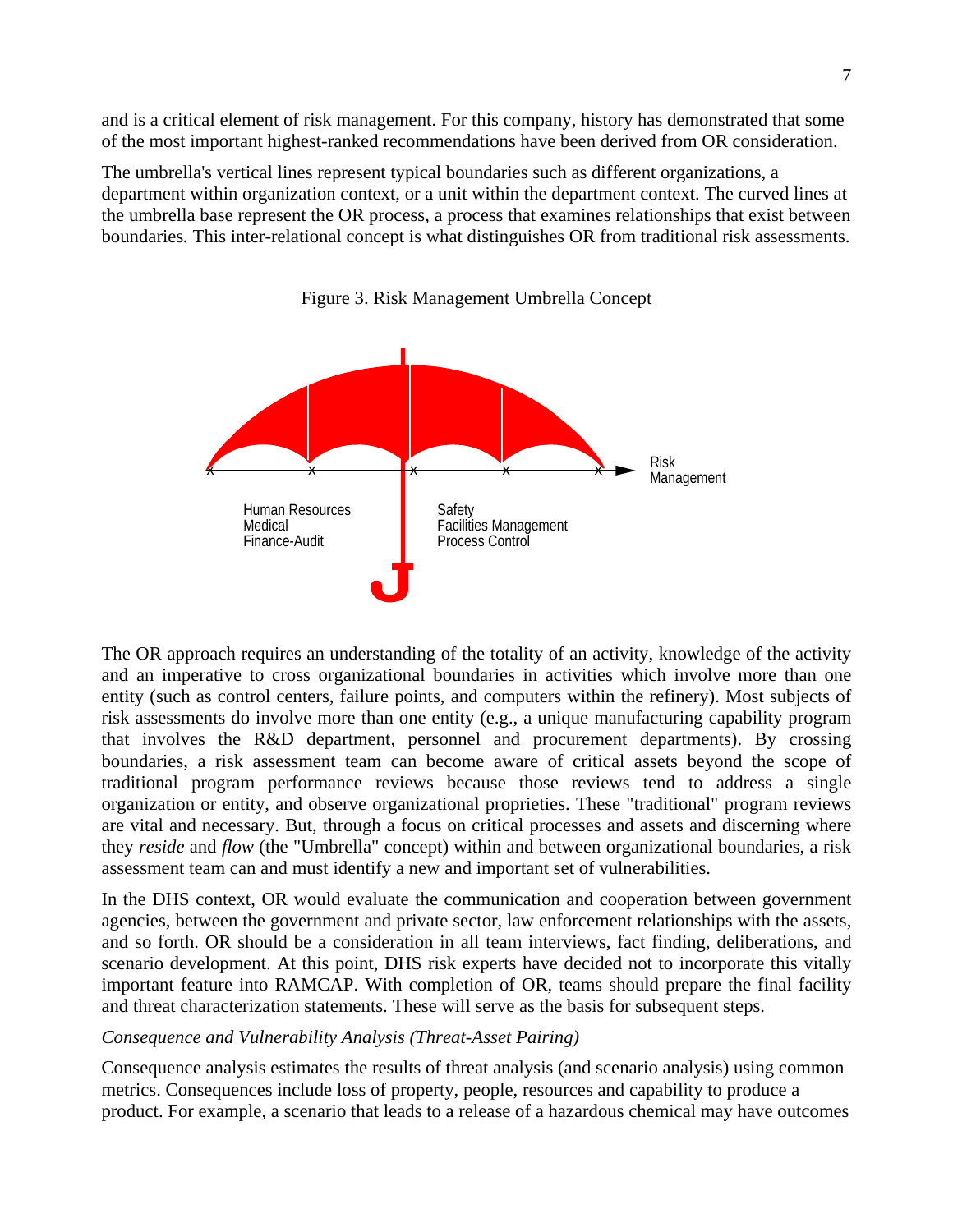and is a critical element of risk management. For this company, history has demonstrated that some of the most important highest-ranked recommendations have been derived from OR consideration.

The umbrella's vertical lines represent typical boundaries such as different organizations, a department within organization context, or a unit within the department context. The curved lines at the umbrella base represent the OR process, a process that examines relationships that exist between boundaries*.* This inter-relational concept is what distinguishes OR from traditional risk assessments.



Figure 3. Risk Management Umbrella Concept

The OR approach requires an understanding of the totality of an activity, knowledge of the activity and an imperative to cross organizational boundaries in activities which involve more than one entity (such as control centers, failure points, and computers within the refinery). Most subjects of risk assessments do involve more than one entity (e.g., a unique manufacturing capability program that involves the R&D department, personnel and procurement departments). By crossing boundaries, a risk assessment team can become aware of critical assets beyond the scope of traditional program performance reviews because those reviews tend to address a single organization or entity, and observe organizational proprieties. These "traditional" program reviews are vital and necessary. But, through a focus on critical processes and assets and discerning where they *reside* and *flow* (the "Umbrella" concept) within and between organizational boundaries, a risk assessment team can and must identify a new and important set of vulnerabilities.

In the DHS context, OR would evaluate the communication and cooperation between government agencies, between the government and private sector, law enforcement relationships with the assets, and so forth. OR should be a consideration in all team interviews, fact finding, deliberations, and scenario development. At this point, DHS risk experts have decided not to incorporate this vitally important feature into RAMCAP. With completion of OR, teams should prepare the final facility and threat characterization statements. These will serve as the basis for subsequent steps.

## *Consequence and Vulnerability Analysis (Threat-Asset Pairing)*

Consequence analysis estimates the results of threat analysis (and scenario analysis) using common metrics. Consequences include loss of property, people, resources and capability to produce a product. For example, a scenario that leads to a release of a hazardous chemical may have outcomes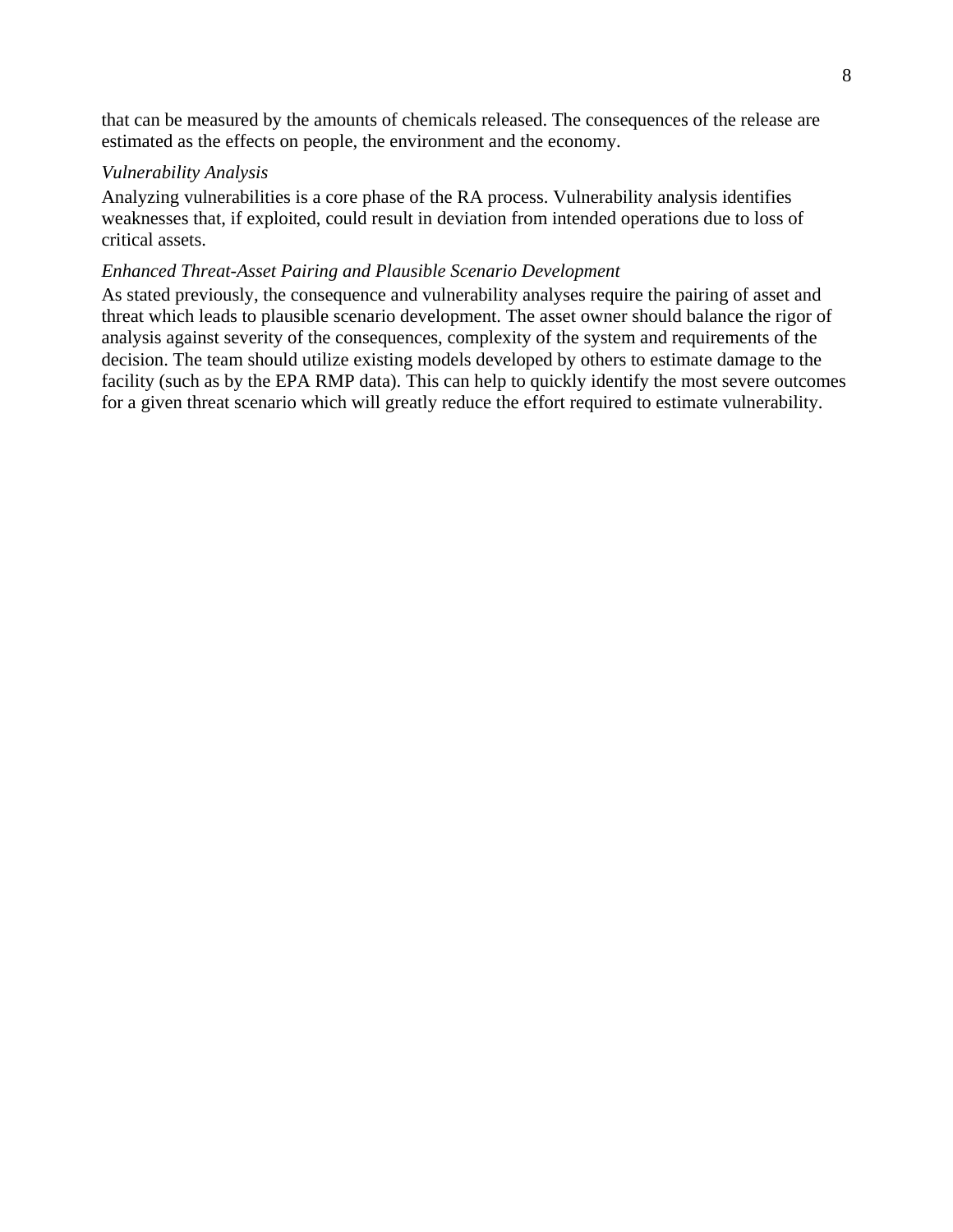that can be measured by the amounts of chemicals released. The consequences of the release are estimated as the effects on people, the environment and the economy.

## *Vulnerability Analysis*

Analyzing vulnerabilities is a core phase of the RA process. Vulnerability analysis identifies weaknesses that, if exploited, could result in deviation from intended operations due to loss of critical assets.

## *Enhanced Threat-Asset Pairing and Plausible Scenario Development*

As stated previously, the consequence and vulnerability analyses require the pairing of asset and threat which leads to plausible scenario development. The asset owner should balance the rigor of analysis against severity of the consequences, complexity of the system and requirements of the decision. The team should utilize existing models developed by others to estimate damage to the facility (such as by the EPA RMP data). This can help to quickly identify the most severe outcomes for a given threat scenario which will greatly reduce the effort required to estimate vulnerability.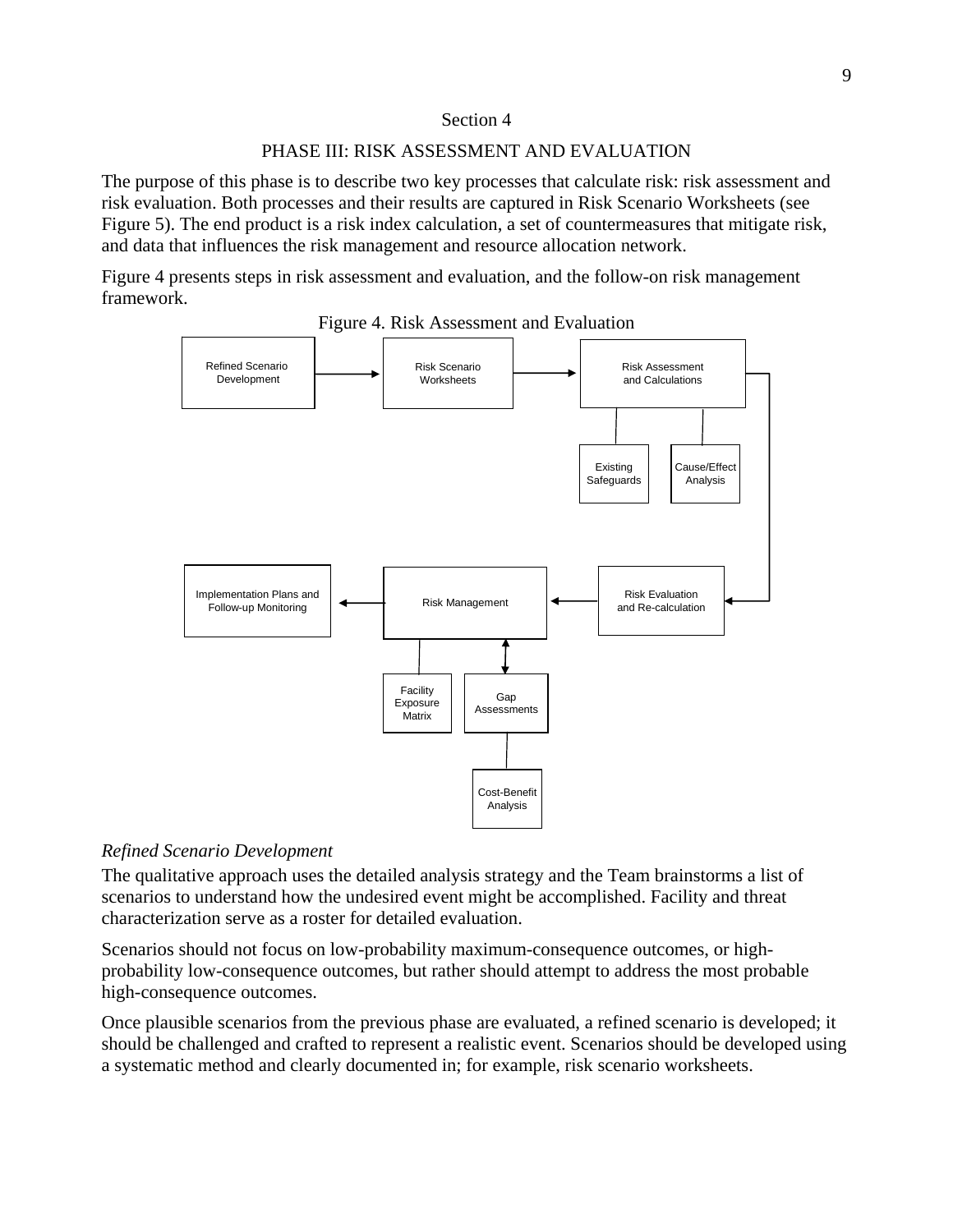### Section 4

### PHASE III: RISK ASSESSMENT AND EVALUATION

The purpose of this phase is to describe two key processes that calculate risk: risk assessment and risk evaluation. Both processes and their results are captured in Risk Scenario Worksheets (see Figure 5). The end product is a risk index calculation, a set of countermeasures that mitigate risk, and data that influences the risk management and resource allocation network.

Figure 4 presents steps in risk assessment and evaluation, and the follow-on risk management framework.



Figure 4. Risk Assessment and Evaluation

## *Refined Scenario Development*

The qualitative approach uses the detailed analysis strategy and the Team brainstorms a list of scenarios to understand how the undesired event might be accomplished. Facility and threat characterization serve as a roster for detailed evaluation.

Scenarios should not focus on low-probability maximum-consequence outcomes, or highprobability low-consequence outcomes, but rather should attempt to address the most probable high-consequence outcomes.

Once plausible scenarios from the previous phase are evaluated, a refined scenario is developed; it should be challenged and crafted to represent a realistic event. Scenarios should be developed using a systematic method and clearly documented in; for example, risk scenario worksheets.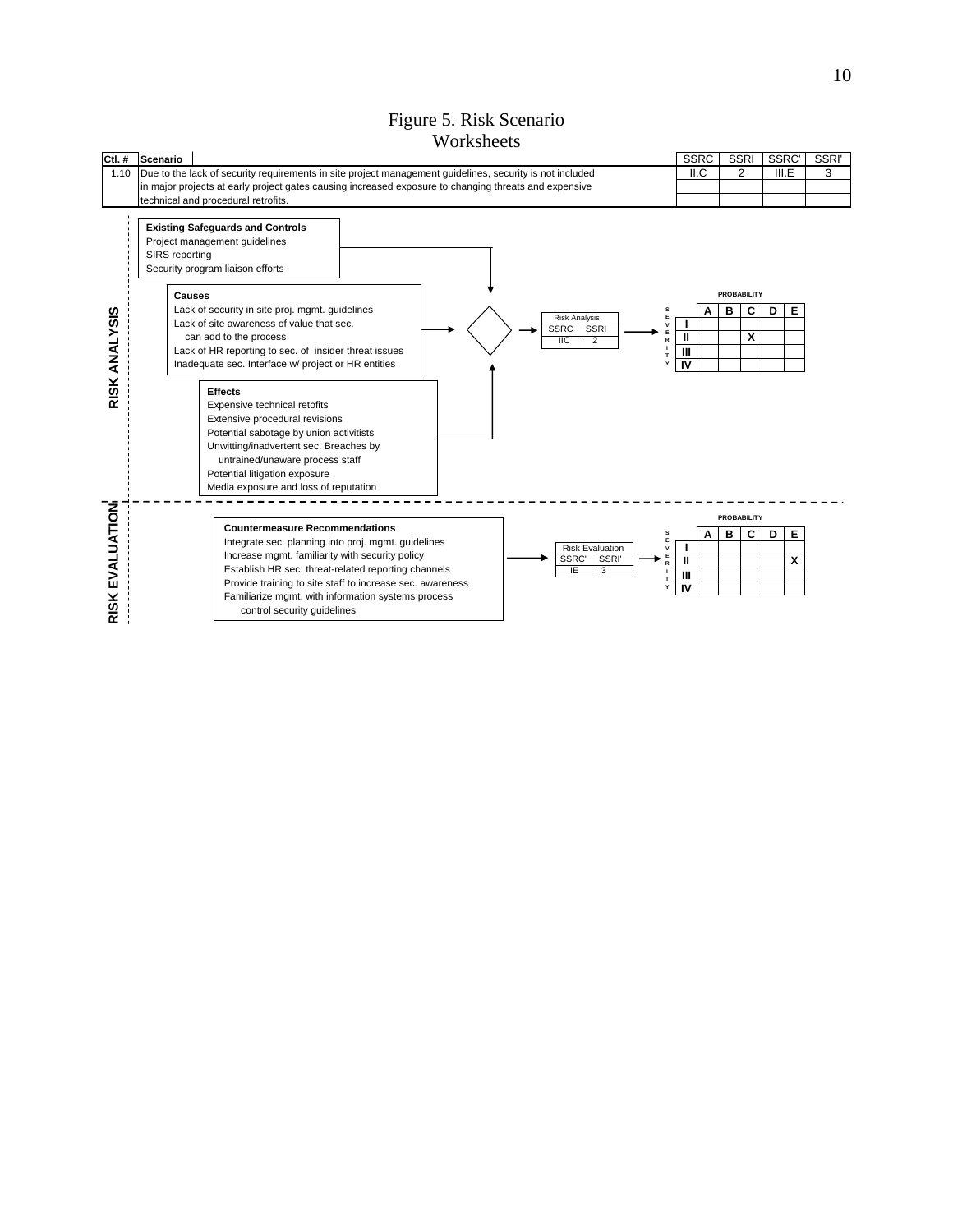### Figure 5. Risk Scenario **Worksheets**

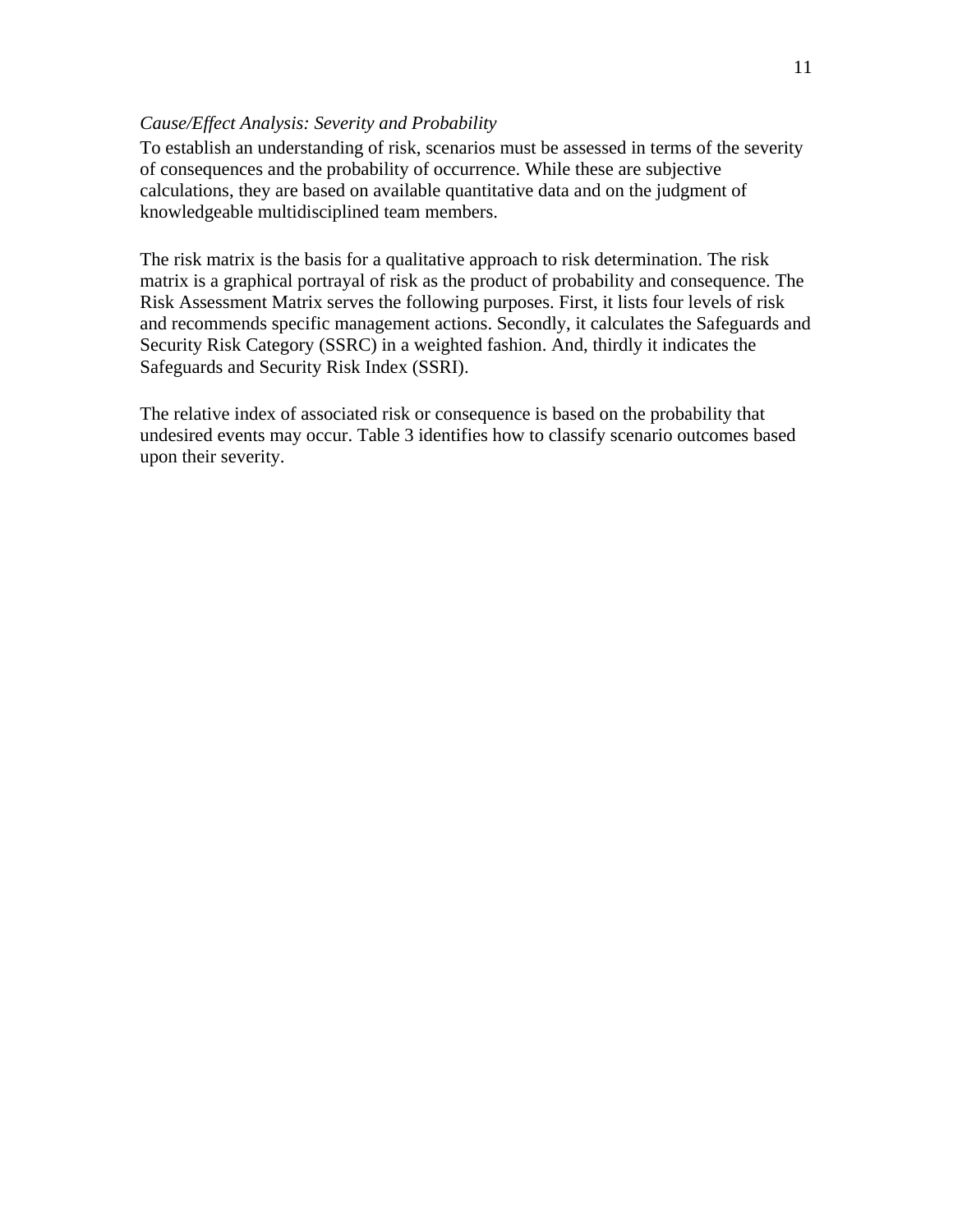### *Cause/Effect Analysis: Severity and Probability*

To establish an understanding of risk, scenarios must be assessed in terms of the severity of consequences and the probability of occurrence. While these are subjective calculations, they are based on available quantitative data and on the judgment of knowledgeable multidisciplined team members.

The risk matrix is the basis for a qualitative approach to risk determination. The risk matrix is a graphical portrayal of risk as the product of probability and consequence. The Risk Assessment Matrix serves the following purposes. First, it lists four levels of risk and recommends specific management actions. Secondly, it calculates the Safeguards and Security Risk Category (SSRC) in a weighted fashion. And, thirdly it indicates the Safeguards and Security Risk Index (SSRI).

The relative index of associated risk or consequence is based on the probability that undesired events may occur. Table 3 identifies how to classify scenario outcomes based upon their severity.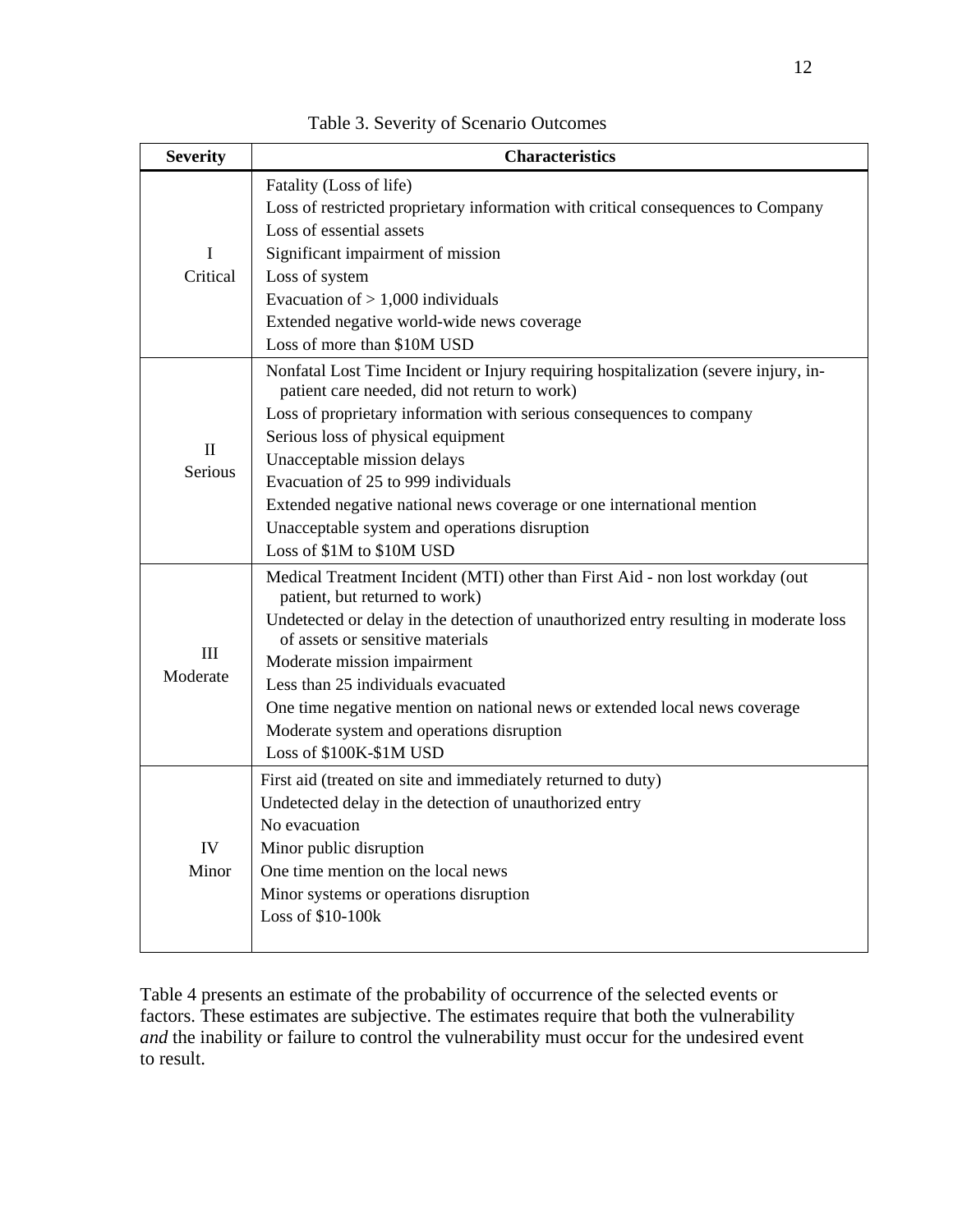| <b>Severity</b>         | <b>Characteristics</b>                                                                                                              |  |  |
|-------------------------|-------------------------------------------------------------------------------------------------------------------------------------|--|--|
|                         | Fatality (Loss of life)                                                                                                             |  |  |
|                         | Loss of restricted proprietary information with critical consequences to Company                                                    |  |  |
|                         | Loss of essential assets                                                                                                            |  |  |
| I                       | Significant impairment of mission                                                                                                   |  |  |
| Critical                | Loss of system                                                                                                                      |  |  |
|                         | Evacuation of $> 1,000$ individuals                                                                                                 |  |  |
|                         | Extended negative world-wide news coverage                                                                                          |  |  |
|                         | Loss of more than \$10M USD                                                                                                         |  |  |
|                         | Nonfatal Lost Time Incident or Injury requiring hospitalization (severe injury, in-<br>patient care needed, did not return to work) |  |  |
|                         | Loss of proprietary information with serious consequences to company                                                                |  |  |
| $\mathbf{I}$<br>Serious | Serious loss of physical equipment                                                                                                  |  |  |
|                         | Unacceptable mission delays                                                                                                         |  |  |
|                         | Evacuation of 25 to 999 individuals                                                                                                 |  |  |
|                         | Extended negative national news coverage or one international mention                                                               |  |  |
|                         | Unacceptable system and operations disruption                                                                                       |  |  |
|                         | Loss of \$1M to \$10M USD                                                                                                           |  |  |
| Ш<br>Moderate           | Medical Treatment Incident (MTI) other than First Aid - non lost workday (out<br>patient, but returned to work)                     |  |  |
|                         | Undetected or delay in the detection of unauthorized entry resulting in moderate loss<br>of assets or sensitive materials           |  |  |
|                         | Moderate mission impairment                                                                                                         |  |  |
|                         | Less than 25 individuals evacuated                                                                                                  |  |  |
|                         | One time negative mention on national news or extended local news coverage                                                          |  |  |
|                         | Moderate system and operations disruption                                                                                           |  |  |
|                         | Loss of \$100K-\$1M USD                                                                                                             |  |  |
| IV                      | First aid (treated on site and immediately returned to duty)                                                                        |  |  |
|                         | Undetected delay in the detection of unauthorized entry                                                                             |  |  |
|                         | No evacuation                                                                                                                       |  |  |
|                         | Minor public disruption                                                                                                             |  |  |
| Minor                   | One time mention on the local news                                                                                                  |  |  |
|                         | Minor systems or operations disruption                                                                                              |  |  |
|                         | Loss of \$10-100k                                                                                                                   |  |  |

Table 3. Severity of Scenario Outcomes

Table 4 presents an estimate of the probability of occurrence of the selected events or factors. These estimates are subjective. The estimates require that both the vulnerability *and* the inability or failure to control the vulnerability must occur for the undesired event to result.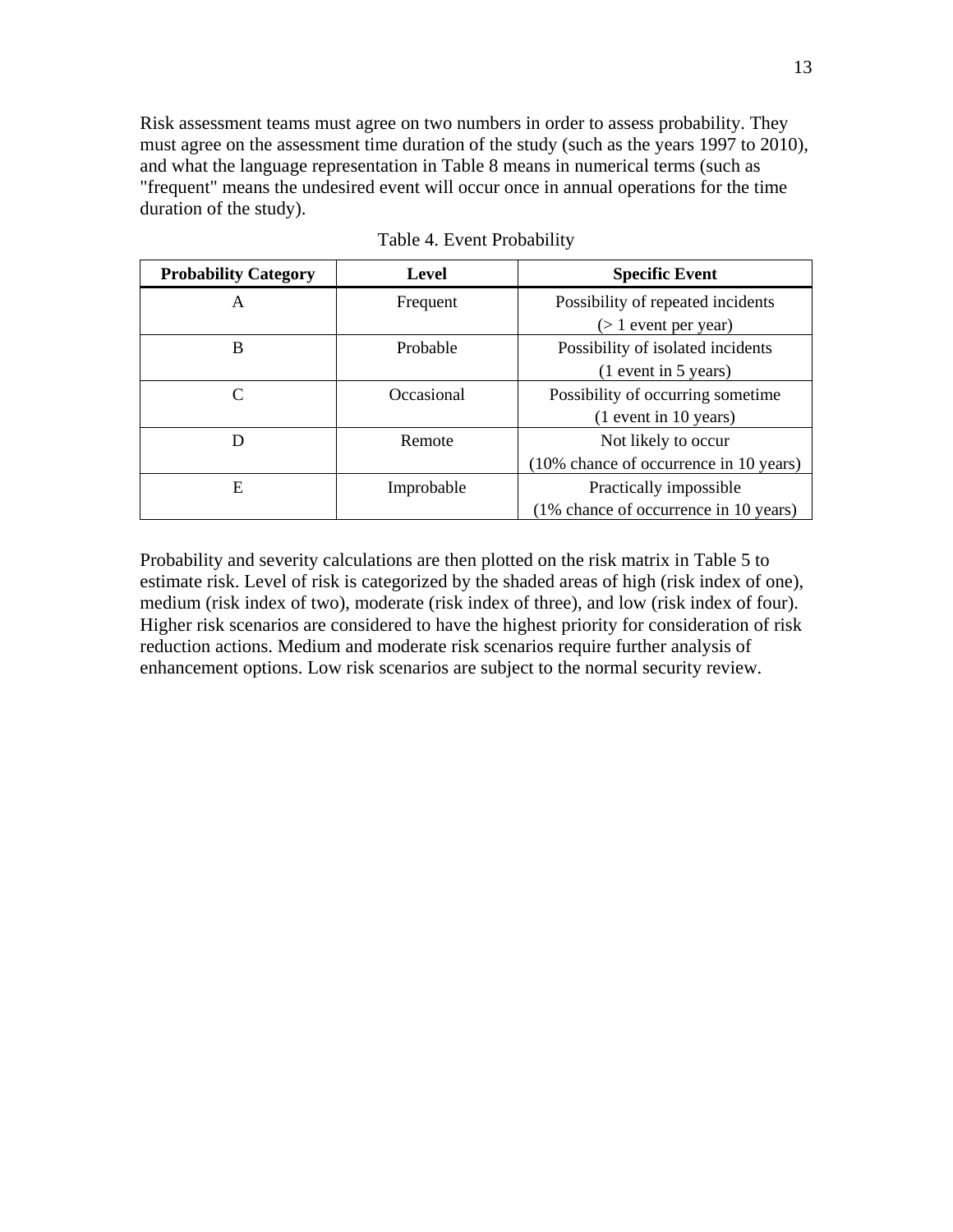Risk assessment teams must agree on two numbers in order to assess probability. They must agree on the assessment time duration of the study (such as the years 1997 to 2010), and what the language representation in Table 8 means in numerical terms (such as "frequent" means the undesired event will occur once in annual operations for the time duration of the study).

| <b>Probability Category</b> | Level      | <b>Specific Event</b>                  |  |
|-----------------------------|------------|----------------------------------------|--|
| A                           | Frequent   | Possibility of repeated incidents      |  |
|                             |            | $($ 1 event per year)                  |  |
| B                           | Probable   | Possibility of isolated incidents      |  |
|                             |            | $(1$ event in 5 years)                 |  |
| C                           | Occasional | Possibility of occurring sometime      |  |
|                             |            | $(1$ event in 10 years)                |  |
| D                           | Remote     | Not likely to occur                    |  |
|                             |            | (10% chance of occurrence in 10 years) |  |
| Ε                           | Improbable | Practically impossible                 |  |
|                             |            | (1% chance of occurrence in 10 years)  |  |

Table 4. Event Probability

Probability and severity calculations are then plotted on the risk matrix in Table 5 to estimate risk. Level of risk is categorized by the shaded areas of high (risk index of one), medium (risk index of two), moderate (risk index of three), and low (risk index of four). Higher risk scenarios are considered to have the highest priority for consideration of risk reduction actions. Medium and moderate risk scenarios require further analysis of enhancement options. Low risk scenarios are subject to the normal security review.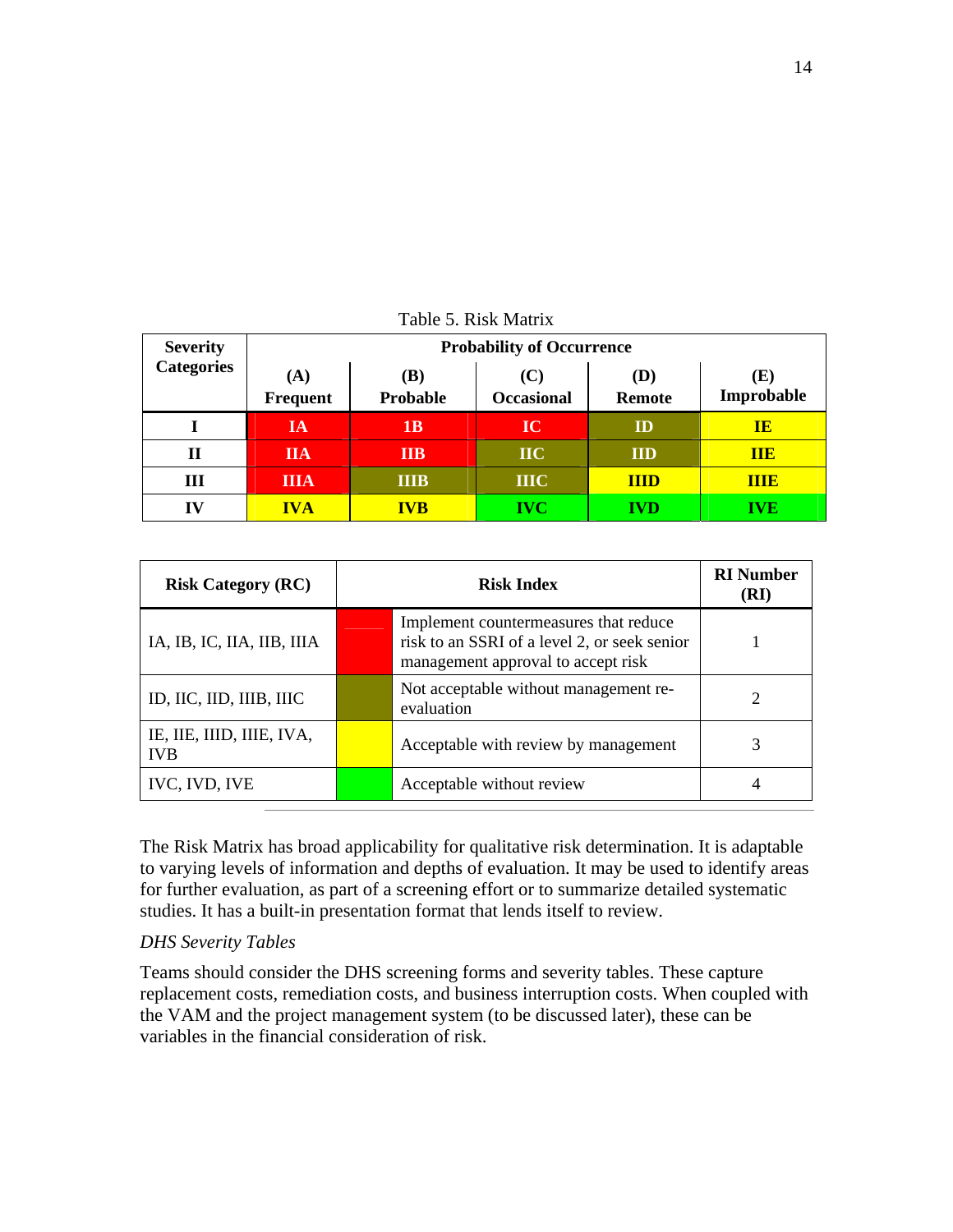| <b>Severity</b>   | <b>Probability of Occurrence</b> |                 |                          |                      |                  |
|-------------------|----------------------------------|-----------------|--------------------------|----------------------|------------------|
| <b>Categories</b> | (A)<br>Frequent                  | (B)<br>Probable | (C)<br><b>Occasional</b> | (D)<br><b>Remote</b> | Œ)<br>Improbable |
|                   | IA                               | 1B              | IC                       | ID                   | <b>IE</b>        |
| П                 | <b>IIA</b>                       | <b>IIB</b>      | $\bf{IIC}$               | <b>IID</b>           | <b>TTE</b>       |
| Ш                 | <b>IIIA</b>                      | <b>IIIB</b>     | <b>IIIC</b>              | <b>IIID</b>          | <b>THE</b>       |
| IV                | <b>IVA</b>                       | <b>IVB</b>      | <b>IVC</b>               | IVD                  | <b>IVE</b>       |

Table 5. Risk Matrix

| <b>Risk Category (RC)</b>               | <b>Risk Index</b> |                                                                                                                             | <b>RI</b> Number<br>(RI) |
|-----------------------------------------|-------------------|-----------------------------------------------------------------------------------------------------------------------------|--------------------------|
| IA, IB, IC, IIA, IIB, IIIA              |                   | Implement countermeasures that reduce<br>risk to an SSRI of a level 2, or seek senior<br>management approval to accept risk |                          |
| ID, IIC, IID, IIIB, IIIC                |                   | Not acceptable without management re-<br>evaluation                                                                         | 2                        |
| IE, IIE, IIID, IIIE, IVA,<br><b>IVB</b> |                   | Acceptable with review by management                                                                                        | 3                        |
| IVC, IVD, IVE                           |                   | Acceptable without review                                                                                                   | $\overline{4}$           |

The Risk Matrix has broad applicability for qualitative risk determination. It is adaptable to varying levels of information and depths of evaluation. It may be used to identify areas for further evaluation, as part of a screening effort or to summarize detailed systematic studies. It has a built-in presentation format that lends itself to review.

## *DHS Severity Tables*

Teams should consider the DHS screening forms and severity tables. These capture replacement costs, remediation costs, and business interruption costs. When coupled with the VAM and the project management system (to be discussed later), these can be variables in the financial consideration of risk.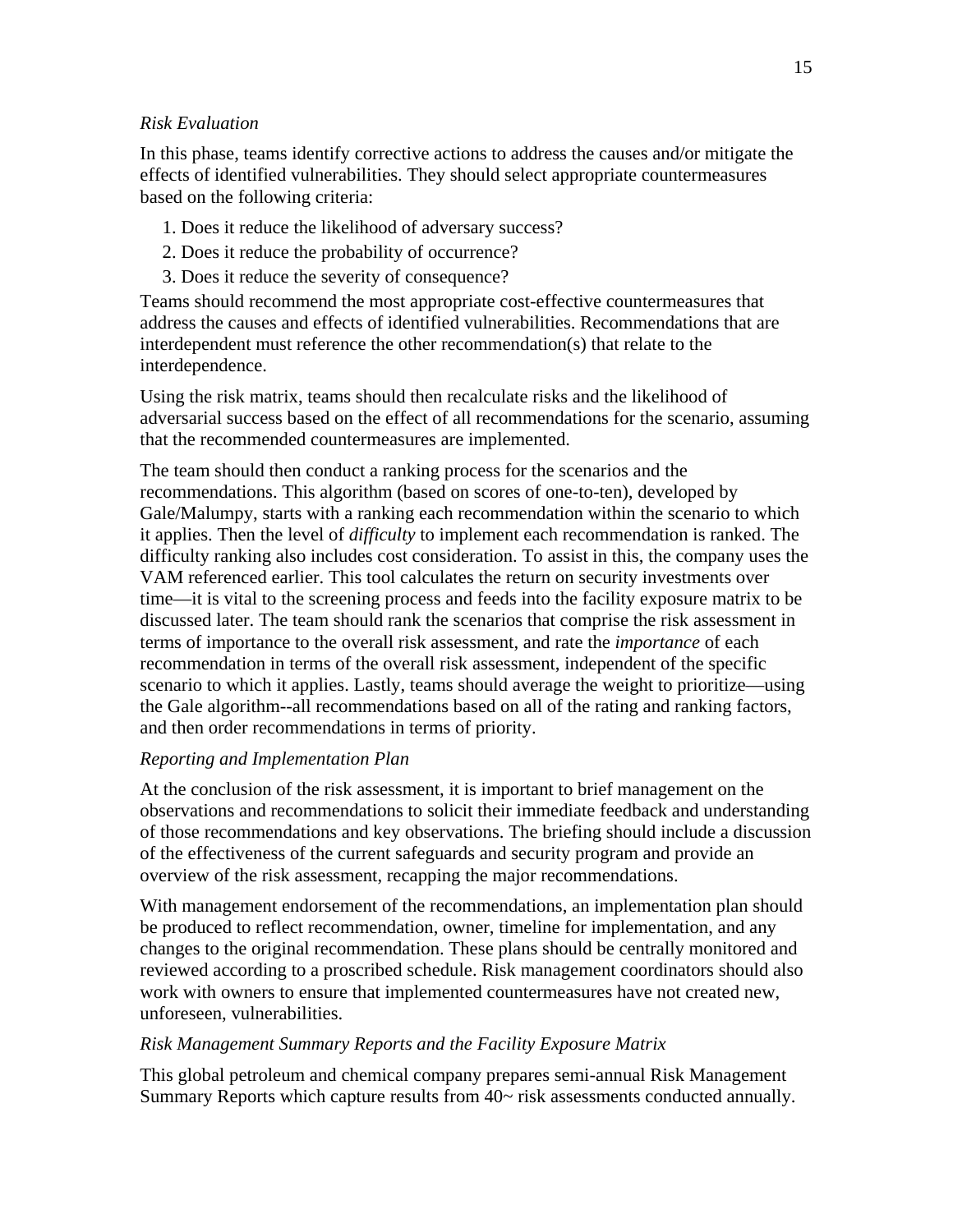## *Risk Evaluation*

In this phase, teams identify corrective actions to address the causes and/or mitigate the effects of identified vulnerabilities. They should select appropriate countermeasures based on the following criteria:

- 1. Does it reduce the likelihood of adversary success?
- 2. Does it reduce the probability of occurrence?
- 3. Does it reduce the severity of consequence?

Teams should recommend the most appropriate cost-effective countermeasures that address the causes and effects of identified vulnerabilities. Recommendations that are interdependent must reference the other recommendation(s) that relate to the interdependence.

Using the risk matrix, teams should then recalculate risks and the likelihood of adversarial success based on the effect of all recommendations for the scenario, assuming that the recommended countermeasures are implemented.

The team should then conduct a ranking process for the scenarios and the recommendations. This algorithm (based on scores of one-to-ten), developed by Gale/Malumpy, starts with a ranking each recommendation within the scenario to which it applies. Then the level of *difficulty* to implement each recommendation is ranked. The difficulty ranking also includes cost consideration. To assist in this, the company uses the VAM referenced earlier. This tool calculates the return on security investments over time—it is vital to the screening process and feeds into the facility exposure matrix to be discussed later. The team should rank the scenarios that comprise the risk assessment in terms of importance to the overall risk assessment, and rate the *importance* of each recommendation in terms of the overall risk assessment, independent of the specific scenario to which it applies. Lastly, teams should average the weight to prioritize—using the Gale algorithm--all recommendations based on all of the rating and ranking factors, and then order recommendations in terms of priority.

### *Reporting and Implementation Plan*

At the conclusion of the risk assessment, it is important to brief management on the observations and recommendations to solicit their immediate feedback and understanding of those recommendations and key observations. The briefing should include a discussion of the effectiveness of the current safeguards and security program and provide an overview of the risk assessment, recapping the major recommendations.

With management endorsement of the recommendations, an implementation plan should be produced to reflect recommendation, owner, timeline for implementation, and any changes to the original recommendation. These plans should be centrally monitored and reviewed according to a proscribed schedule. Risk management coordinators should also work with owners to ensure that implemented countermeasures have not created new, unforeseen, vulnerabilities.

### *Risk Management Summary Reports and the Facility Exposure Matrix*

This global petroleum and chemical company prepares semi-annual Risk Management Summary Reports which capture results from 40~ risk assessments conducted annually.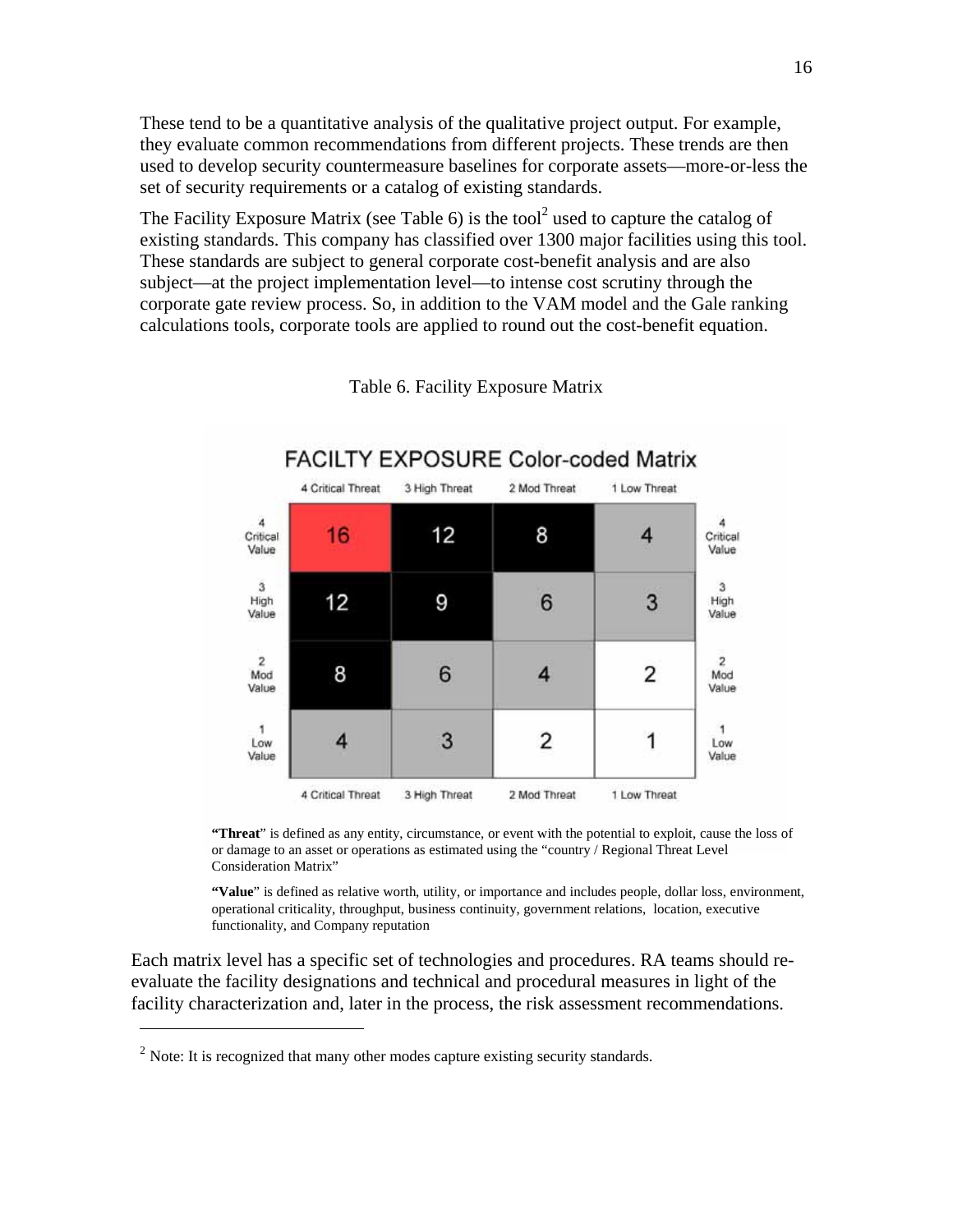These tend to be a quantitative analysis of the qualitative project output. For example, they evaluate common recommendations from different projects. These trends are then used to develop security countermeasure baselines for corporate assets—more-or-less the set of security requirements or a catalog of existing standards.

The Facility Exposure Matrix (see Table 6) is the tool<sup>2</sup> used to capture the catalog of existing standards. This company has classified over 1300 major facilities using this tool. These standards are subject to general corporate cost-benefit analysis and are also subject—at the project implementation level—to intense cost scrutiny through the corporate gate review process. So, in addition to the VAM model and the Gale ranking calculations tools, corporate tools are applied to round out the cost-benefit equation.



Table 6. Facility Exposure Matrix

**"Threat**" is defined as any entity, circumstance, or event with the potential to exploit, cause the loss of or damage to an asset or operations as estimated using the "country / Regional Threat Level Consideration Matrix"

**"Value**" is defined as relative worth, utility, or importance and includes people, dollar loss, environment, operational criticality, throughput, business continuity, government relations, location, executive functionality, and Company reputation

Each matrix level has a specific set of technologies and procedures. RA teams should reevaluate the facility designations and technical and procedural measures in light of the facility characterization and, later in the process, the risk assessment recommendations.

l

<sup>&</sup>lt;sup>2</sup> Note: It is recognized that many other modes capture existing security standards.